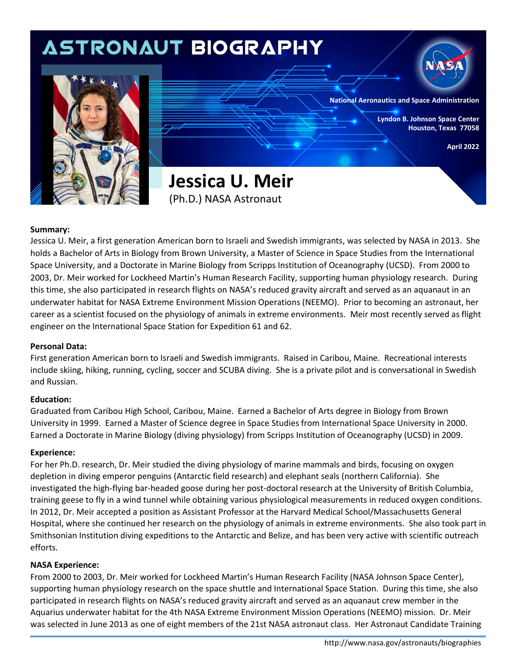# **ASTRONAUT BIOGRAPHY National Aeronautics and Space Administration Lyndon B. Johnson Space Center Houston, Texas 77058 April 2022 Jessica U. Meir**  (Ph.D.) NASA Astronaut

### **Summary:**

Jessica U. Meir, a first generation American born to Israeli and Swedish immigrants, was selected by NASA in 2013. She holds a Bachelor of Arts in Biology from Brown University, a Master of Science in Space Studies from the International Space University, and a Doctorate in Marine Biology from Scripps Institution of Oceanography (UCSD). From 2000 to 2003, Dr. Meir worked for Lockheed Martin's Human Research Facility, supporting human physiology research. During this time, she also participated in research flights on NASA's reduced gravity aircraft and served as an aquanaut in an underwater habitat for NASA Extreme Environment Mission Operations (NEEMO). Prior to becoming an astronaut, her career as a scientist focused on the physiology of animals in extreme environments. Meir most recently served as flight engineer on the International Space Station for Expedition 61 and 62.

### **Personal Data:**

First generation American born to Israeli and Swedish immigrants. Raised in Caribou, Maine. Recreational interests include skiing, hiking, running, cycling, soccer and SCUBA diving. She is a private pilot and is conversational in Swedish and Russian.

### **Education:**

Graduated from Caribou High School, Caribou, Maine. Earned a Bachelor of Arts degree in Biology from Brown University in 1999. Earned a Master of Science degree in Space Studies from International Space University in 2000. Earned a Doctorate in Marine Biology (diving physiology) from Scripps Institution of Oceanography (UCSD) in 2009.

### **Experience:**

For her Ph.D. research, Dr. Meir studied the diving physiology of marine mammals and birds, focusing on oxygen depletion in diving emperor penguins (Antarctic field research) and elephant seals (northern California). She investigated the high-flying bar-headed goose during her post-doctoral research at the University of British Columbia, training geese to fly in a wind tunnel while obtaining various physiological measurements in reduced oxygen conditions. In 2012, Dr. Meir accepted a position as Assistant Professor at the Harvard Medical School/Massachusetts General Hospital, where she continued her research on the physiology of animals in extreme environments. She also took part in Smithsonian Institution diving expeditions to the Antarctic and Belize, and has been very active with scientific outreach efforts.

### **NASA Experience:**

From 2000 to 2003, Dr. Meir worked for Lockheed Martin's Human Research Facility (NASA Johnson Space Center), supporting human physiology research on the space shuttle and International Space Station. During this time, she also participated in research flights on NASA's reduced gravity aircraft and served as an aquanaut crew member in the Aquarius underwater habitat for the 4th NASA Extreme Environment Mission Operations (NEEMO) mission. Dr. Meir was selected in June 2013 as one of eight members of the 21st NASA astronaut class. Her Astronaut Candidate Training